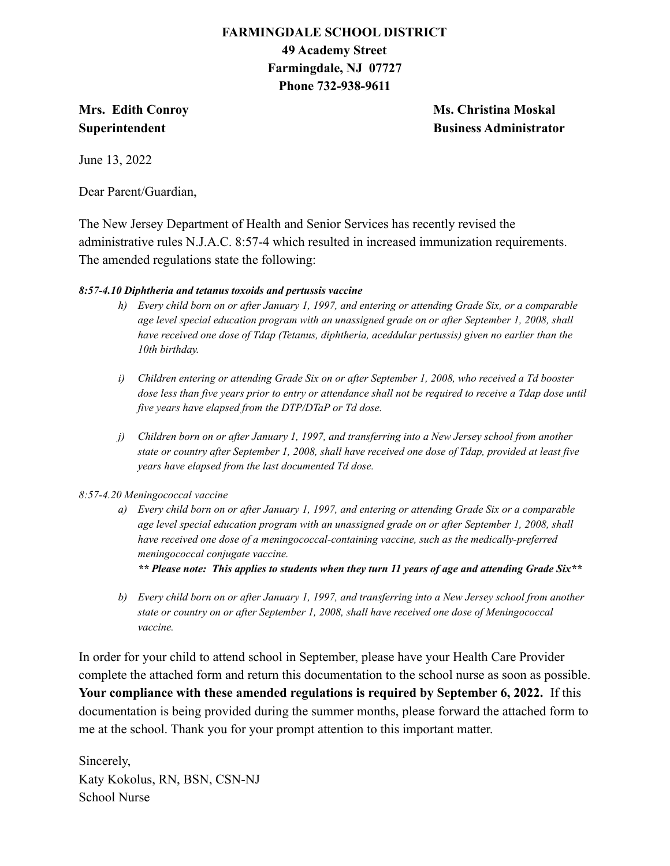# **FARMINGDALE SCHOOL DISTRICT 49 Academy Street Farmingdale, NJ 07727 Phone 732-938-9611**

**Mrs. Edith Conroy Ms. Christina Moskal Superintendent Business Administrator**

June 13, 2022

Dear Parent/Guardian,

The New Jersey Department of Health and Senior Services has recently revised the administrative rules N.J.A.C. 8:57-4 which resulted in increased immunization requirements. The amended regulations state the following:

### *8:57-4.10 Diphtheria and tetanus toxoids and pertussis vaccine*

- h) Every child born on or after January 1, 1997, and entering or attending Grade Six, or a comparable *age level special education program with an unassigned grade on or after September 1, 2008, shall have received one dose of Tdap (Tetanus, diphtheria, aceddular pertussis) given no earlier than the 10th birthday.*
- i) Children entering or attending Grade Six on or after September 1, 2008, who received a Td booster dose less than five years prior to entry or attendance shall not be required to receive a Tdap dose until *five years have elapsed from the DTP/DTaP or Td dose.*
- j) Children born on or after January 1, 1997, and transferring into a New Jersey school from another state or country after September 1, 2008, shall have received one dose of Tdap, provided at least five *years have elapsed from the last documented Td dose.*

#### *8:57-4.20 Meningococcal vaccine*

a) Every child born on or after January 1, 1997, and entering or attending Grade Six or a comparable *age level special education program with an unassigned grade on or after September 1, 2008, shall have received one dose of a meningococcal-containing vaccine, such as the medically-preferred meningococcal conjugate vaccine.*

*\*\* Please note: This applies to students when they turn 11 years of age and attending Grade Six\*\**

b) Every child born on or after January 1, 1997, and transferring into a New Jersey school from another *state or country on or after September 1, 2008, shall have received one dose of Meningococcal vaccine.*

In order for your child to attend school in September, please have your Health Care Provider complete the attached form and return this documentation to the school nurse as soon as possible. **Your compliance with these amended regulations is required by September 6, 2022.** If this documentation is being provided during the summer months, please forward the attached form to me at the school. Thank you for your prompt attention to this important matter.

Sincerely, Katy Kokolus, RN, BSN, CSN-NJ School Nurse